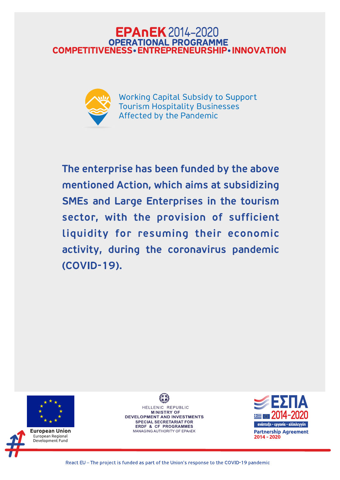# **EPAnEK** 2014-2020 **OPERATIONAL PROGRAMME COMPETITIVENESS • ENTREPRENEURSHIP • INNOVATION**



**Working Capital Subsidy to Support Tourism Hospitality Businesses** Affected by the Pandemic

The enterprise has been funded by the above mentioned Action, which aims at subsidizing SMEs and Large Enterprises in the tourism sector, with the provision of sufficient liquidity for resuming their economic activity, during the coronavirus pandemic (COVID-19).



## European Union European Regional Development Fund

HELLENIC REPUBLIC **MINISTRY OF** DEVELOPMENT AND INVESTMENTS **SPECIAL SECRETARIAT FOR ERDF & CF PROGRAMMES** MANAGING AUTHORITY OF EPAnEK

ΖΕΣΠΑ **2014-2020** ανάπτυξη - εργασία - αλληλεγγύη **Partnership Agreement** 

2014 - 2020

React EU - The project is funded as part of the Union's response to the COVID-19 pandemic